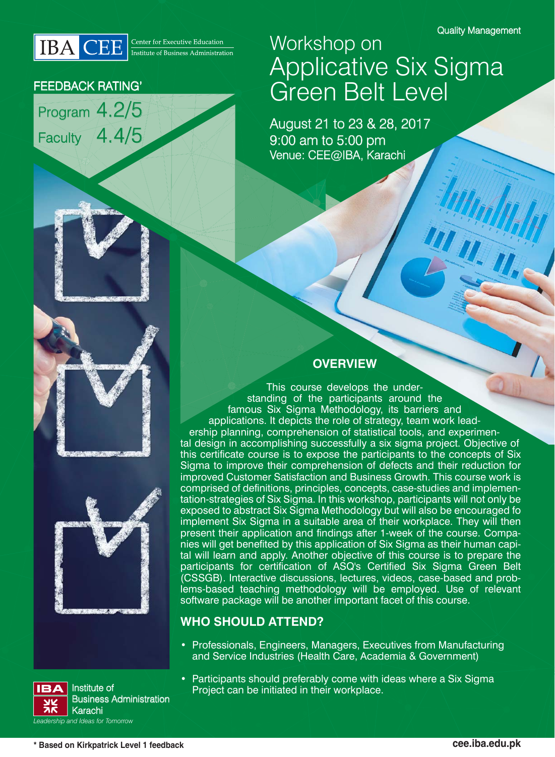WILL



### FEEDBACK RATING'

Program 4.2/5 Faculty 4.4/5



August 21 to 23 & 28, 2017 9:00 am to 5:00 pm Venue: CEE@IBA, Karachi

Workshop on



## **OVERVIEW**

This course develops the understanding of the participants around the famous Six Sigma Methodology, its barriers and applications. It depicts the role of strategy, team work leadership planning, comprehension of statistical tools, and experimental design in accomplishing successfully a six sigma project. Objective of this certificate course is to expose the participants to the concepts of Six Sigma to improve their comprehension of defects and their reduction for improved Customer Satisfaction and Business Growth. This course work is comprised of definitions, principles, concepts, case-studies and implementation-strategies of Six Sigma. In this workshop, participants will not only be exposed to abstract Six Sigma Methodology but will also be encouraged fo implement Six Sigma in a suitable area of their workplace. They will then present their application and findings after 1-week of the course. Companies will get benefited by this application of Six Sigma as their human capital will learn and apply. Another objective of this course is to prepare the participants for certification of ASQ's Certified Six Sigma Green Belt (CSSGB). Interactive discussions, lectures, videos, case-based and problems-based teaching methodology will be employed. Use of relevant software package will be another important facet of this course.

## **WHO SHOULD ATTEND?**

• Professionals, Engineers, Managers, Executives from Manufacturing and Service Industries (Health Care, Academia & Government)



• Participants should preferably come with ideas where a Six Sigma Institute of **Example 2** Project can be initiated in their workplace.